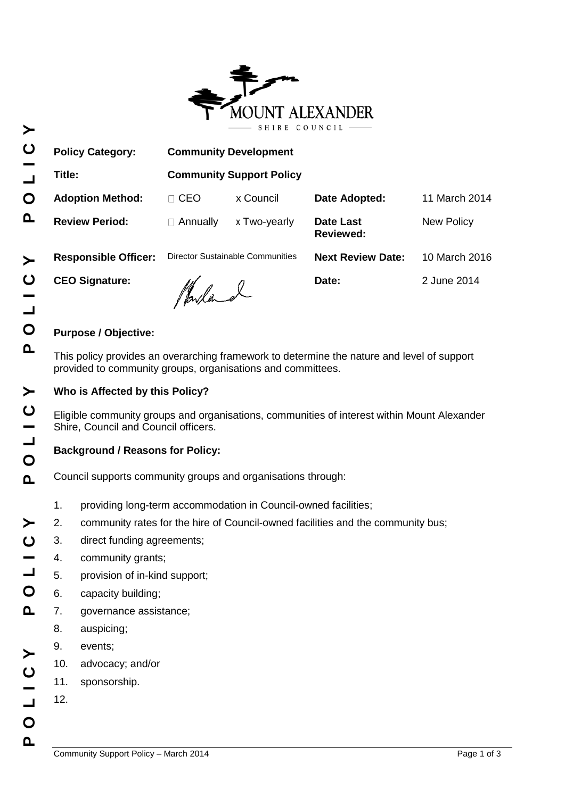

| <b>Policy Category:</b>     | <b>Community Development</b>     |              |                               |                   |
|-----------------------------|----------------------------------|--------------|-------------------------------|-------------------|
| Title:                      | <b>Community Support Policy</b>  |              |                               |                   |
| <b>Adoption Method:</b>     | <b>CEO</b><br>$\Box$             | x Council    | Date Adopted:                 | 11 March 2014     |
| <b>Review Period:</b>       | Annually<br>$\mathbf{L}$         | x Two-yearly | Date Last<br><b>Reviewed:</b> | <b>New Policy</b> |
| <b>Responsible Officer:</b> | Director Sustainable Communities |              | <b>Next Review Date:</b>      | 10 March 2016     |
| <b>CEO Signature:</b>       | Marland                          |              | Date:                         | 2 June 2014       |

# **Purpose / Objective:**

This policy provides an overarching framework to determine the nature and level of support provided to community groups, organisations and committees.

## **Who is Affected by this Policy?**

Eligible community groups and organisations, communities of interest within Mount Alexander Shire, Council and Council officers.

## **Background / Reasons for Policy:**

Council supports community groups and organisations through:

- 1. providing long-term accommodation in Council-owned facilities;
- 2. community rates for the hire of Council-owned facilities and the community bus;
- 3. direct funding agreements;
- 4. community grants;
- 5. provision of in-kind support;
- 6. capacity building;
- 7. governance assistance;
	- 8. auspicing;
	- 9. events;
- 10. advocacy; and/or
- 11. sponsorship.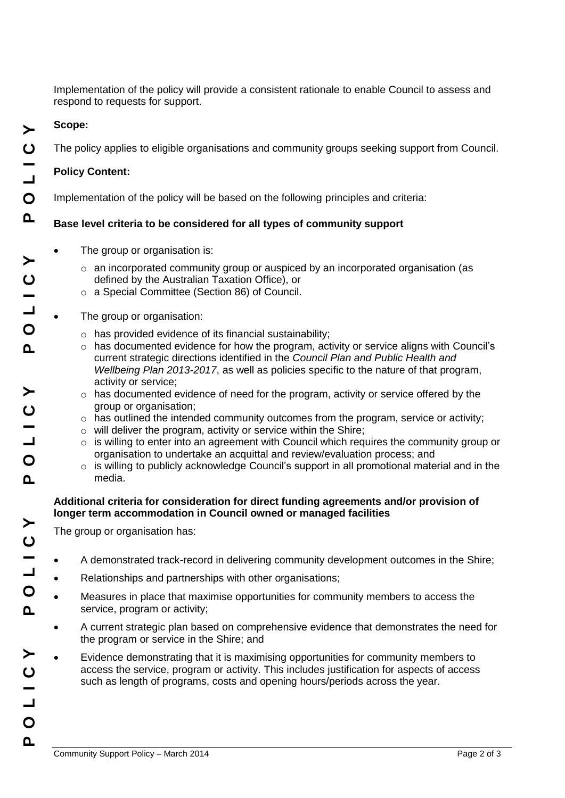Implementation of the policy will provide a consistent rationale to enable Council to assess and respond to requests for support.

### **Scope:**

The policy applies to eligible organisations and community groups seeking support from Council.

### **Policy Content:**

Implementation of the policy will be based on the following principles and criteria:

### **Base level criteria to be considered for all types of community support**

- The group or organisation is:
	- $\circ$  an incorporated community group or auspiced by an incorporated organisation (as defined by the Australian Taxation Office), or
	- o a Special Committee (Section 86) of Council.

#### The group or organisation:

- $\circ$  has provided evidence of its financial sustainability;
- $\circ$  has documented evidence for how the program, activity or service aligns with Council's current strategic directions identified in the *Council Plan and Public Health and Wellbeing Plan 2013-2017*, as well as policies specific to the nature of that program, activity or service;
- $\circ$  has documented evidence of need for the program, activity or service offered by the group or organisation;
- $\circ$  has outlined the intended community outcomes from the program, service or activity;
- o will deliver the program, activity or service within the Shire;
- $\circ$  is willing to enter into an agreement with Council which requires the community group or organisation to undertake an acquittal and review/evaluation process; and
- $\circ$  is willing to publicly acknowledge Council's support in all promotional material and in the media.

#### **Additional criteria for consideration for direct funding agreements and/or provision of longer term accommodation in Council owned or managed facilities**

The group or organisation has:

- A demonstrated track-record in delivering community development outcomes in the Shire;
- Relationships and partnerships with other organisations;
- Measures in place that maximise opportunities for community members to access the service, program or activity;
- A current strategic plan based on comprehensive evidence that demonstrates the need for the program or service in the Shire; and
- Evidence demonstrating that it is maximising opportunities for community members to access the service, program or activity. This includes justification for aspects of access such as length of programs, costs and opening hours/periods across the year.